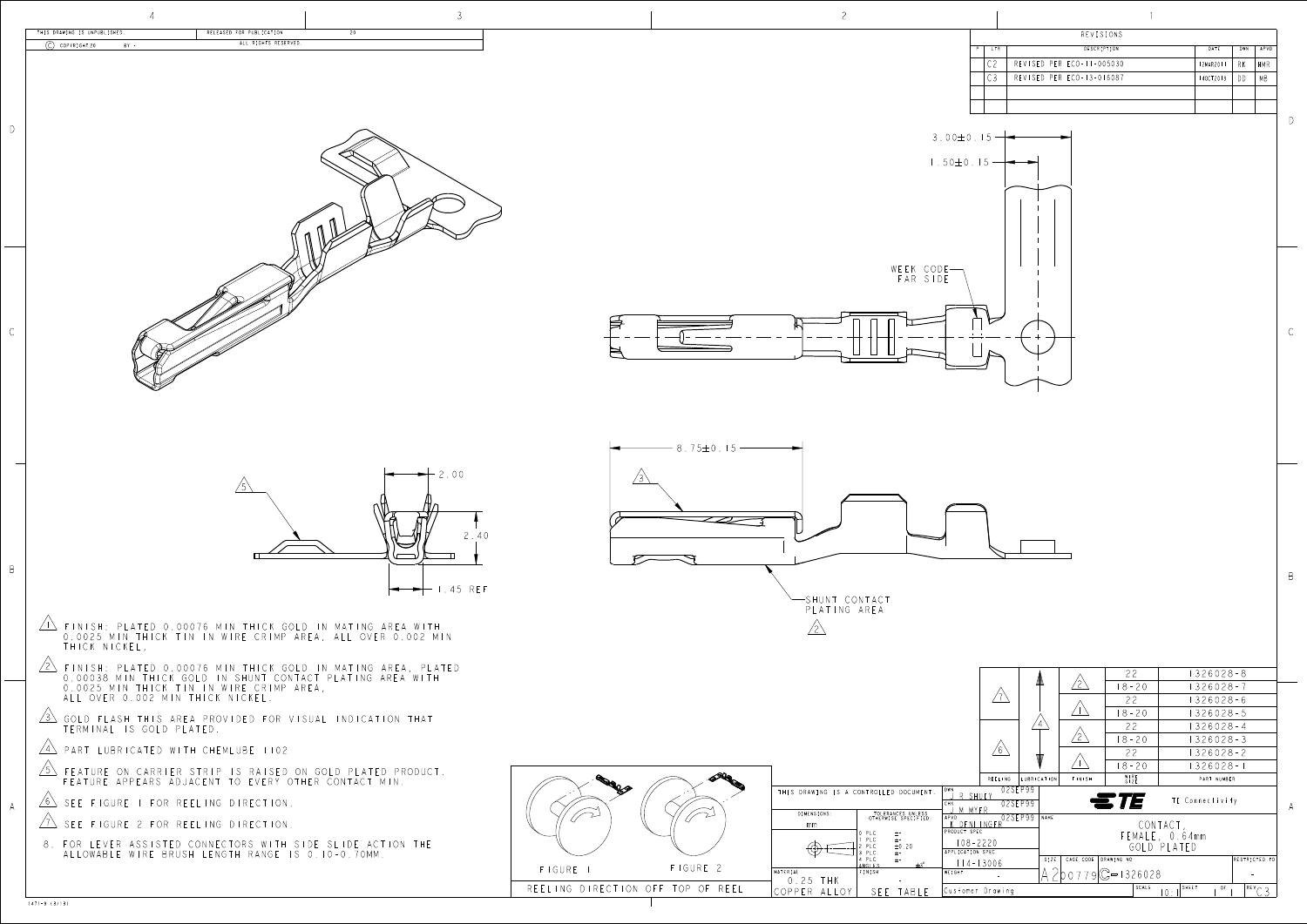

| THIS DRAWING IS UNPUBLISHED.<br>RELEASED FOR PUBLICATION<br>ALL RIGHTS RESERVED.<br>$\circ$ COPYRIGHT 20<br>$BY =$                                                                                                                        | REVISIONS                                                                                                                                                                                                                                                                                     |                                  |
|-------------------------------------------------------------------------------------------------------------------------------------------------------------------------------------------------------------------------------------------|-----------------------------------------------------------------------------------------------------------------------------------------------------------------------------------------------------------------------------------------------------------------------------------------------|----------------------------------|
|                                                                                                                                                                                                                                           | DESCRIPTION<br>DATE<br>REVISED PER ECO-11-005030<br>12MAR2011                                                                                                                                                                                                                                 | DWN   APVI<br>RK                 |
|                                                                                                                                                                                                                                           | REVISED PER ECO-13-016087                                                                                                                                                                                                                                                                     | $140C$ T2013 $\bigcirc$ DD<br>MB |
|                                                                                                                                                                                                                                           |                                                                                                                                                                                                                                                                                               |                                  |
|                                                                                                                                                                                                                                           | $3.00 \pm 0.15 -$                                                                                                                                                                                                                                                                             |                                  |
|                                                                                                                                                                                                                                           | $1.50 \pm 0.15$ —                                                                                                                                                                                                                                                                             |                                  |
|                                                                                                                                                                                                                                           |                                                                                                                                                                                                                                                                                               |                                  |
|                                                                                                                                                                                                                                           |                                                                                                                                                                                                                                                                                               |                                  |
|                                                                                                                                                                                                                                           |                                                                                                                                                                                                                                                                                               |                                  |
|                                                                                                                                                                                                                                           |                                                                                                                                                                                                                                                                                               |                                  |
|                                                                                                                                                                                                                                           | WEEK CODE-<br>FAR SIDE                                                                                                                                                                                                                                                                        |                                  |
|                                                                                                                                                                                                                                           |                                                                                                                                                                                                                                                                                               |                                  |
|                                                                                                                                                                                                                                           | 字                                                                                                                                                                                                                                                                                             |                                  |
|                                                                                                                                                                                                                                           | $\blacktriangle$                                                                                                                                                                                                                                                                              |                                  |
|                                                                                                                                                                                                                                           |                                                                                                                                                                                                                                                                                               |                                  |
|                                                                                                                                                                                                                                           |                                                                                                                                                                                                                                                                                               |                                  |
|                                                                                                                                                                                                                                           |                                                                                                                                                                                                                                                                                               |                                  |
|                                                                                                                                                                                                                                           | $-8.75 \pm 0.15 -$                                                                                                                                                                                                                                                                            |                                  |
| $-2.00$                                                                                                                                                                                                                                   | $\angle$ 3                                                                                                                                                                                                                                                                                    |                                  |
|                                                                                                                                                                                                                                           |                                                                                                                                                                                                                                                                                               |                                  |
| 2.40                                                                                                                                                                                                                                      | $\overline{\mathscr{L}}$                                                                                                                                                                                                                                                                      |                                  |
|                                                                                                                                                                                                                                           |                                                                                                                                                                                                                                                                                               |                                  |
| $\leftarrow$ $\leftarrow$ 1.45 REF                                                                                                                                                                                                        |                                                                                                                                                                                                                                                                                               |                                  |
|                                                                                                                                                                                                                                           | -SHUNT CONTACT<br>PLATING AREA                                                                                                                                                                                                                                                                |                                  |
| $\angle$ Finish: Plated 0.00076 MIN THICK GOLD IN MATING AREA WITH<br>0.0025 MIN THICK TIN IN WIRE CRIMP AREA, ALL OVER 0.002 MIN                                                                                                         |                                                                                                                                                                                                                                                                                               |                                  |
| THICK NICKEL,                                                                                                                                                                                                                             |                                                                                                                                                                                                                                                                                               |                                  |
| $\overline{2}$ FINISH: PLATED 0.00076 MIN THICK GOLD IN MATING AREA, PLATED 0.00038 MIN THICK GOLD IN SHUNT CONTACT PLATING AREA WITH 0.0025 MIN THICK TIN IN WIRE CRIMP AREA,<br>0.0025 MIN THICK TIN IN WIRE CRIMP AREA,<br>ALL OVER 0. | 22<br>$\sqrt{2}$<br>$18 - 20$                                                                                                                                                                                                                                                                 | $1326028 - 8$<br>$1326028 - 7$   |
|                                                                                                                                                                                                                                           | $\sqrt{2}$<br>22<br>$\sqrt{2}$<br>$18 - 20$                                                                                                                                                                                                                                                   | $1326028 - 6$<br>$1326028 - 5$   |
| $\sqrt{3}$ Gold Flash This area provided for visual indication that terminal is gold plated.                                                                                                                                              | $\angle 4 \setminus$<br>22<br>$\sqrt{2}$<br>$18 - 20$                                                                                                                                                                                                                                         | $1326028 - 4$<br>$1326028 - 3$   |
| $\sqrt{4}$ PART LUBRICATED WITH CHEMLUBE 1102                                                                                                                                                                                             | $\sqrt{6}$<br>22<br>$\sqrt{N}$<br>$18 - 20$                                                                                                                                                                                                                                                   | $1326028 - 2$<br>$1326028 - 1$   |
| $\sqrt{5}$ FEATURE ON CARRIER STRIP IS RAISED ON GOLD PLATED PRODUCT.<br>FEATURE APPEARS ADJACENT TO EVERY OTHER CONTACT MIN.                                                                                                             | STORE<br>WIRE<br>SIZE<br>REELING LUBRICATION FINISH<br>PART NUMBER<br><b>RALLS</b><br>02SEP99<br>DWN<br>J R SHUEY<br>THIS DRAWING IS A CONTROLLED DOCUMENT.                                                                                                                                   |                                  |
| $\sqrt{6}$ SEE FIGURE I FOR REELING DIRECTION.                                                                                                                                                                                            | ETE<br>TE Connectivity<br>$02SEP99$<br>"J M MYER<br>$\widehat{\phantom{m}}$<br>TOLERANCES UNLESS<br>OTHERWISE SPECIFIED:<br>DIMENSIONS:<br>I APRIL INGER 02SEP99 NAME                                                                                                                         |                                  |
| $\sqrt{1}$ SEE FIGURE 2 FOR REELING DIRECTION.                                                                                                                                                                                            | CONTACT,<br>mm<br>PRODUCT SPEC<br>PLC<br>FEMALE, 0.64mm<br>一生"。<br>PLC<br>$\pm -$<br>$\pm 0.20$<br>$108 - 2220$                                                                                                                                                                               |                                  |
| 8. FOR LEVER ASSISTED CONNECTORS WITH SIDE SLIDE ACTION THE ALLOWABLE WIRE BRUSH LENGTH RANGE IS 0.10-0.70MM.                                                                                                                             | GOLD PLATED<br>2 PLC<br>3 PLC<br>$\bigoplus_{i=1}^n \underbrace{\underbrace{\qquad \qquad}_{i}}_{i+1} \cdots \underbrace{\qquad \qquad}_{n}$<br>APPLICATION SPEC<br>4 PLC<br>SIZE   CAGE CODE   DRAWING NO<br>一士~<br>$114 - 13006$<br>$\pm 3^{\circ}$<br><b>NGLES</b><br>FIGURE 2<br>FIGURE I | RESTRICTED TO                    |
|                                                                                                                                                                                                                                           | $A200779C = 1326028$<br>WEIGHT<br>MATERIAL<br>FINISH<br>25 T U V<br>$\cap$                                                                                                                                                                                                                    | $\alpha_{\rm{max}}=1$            |